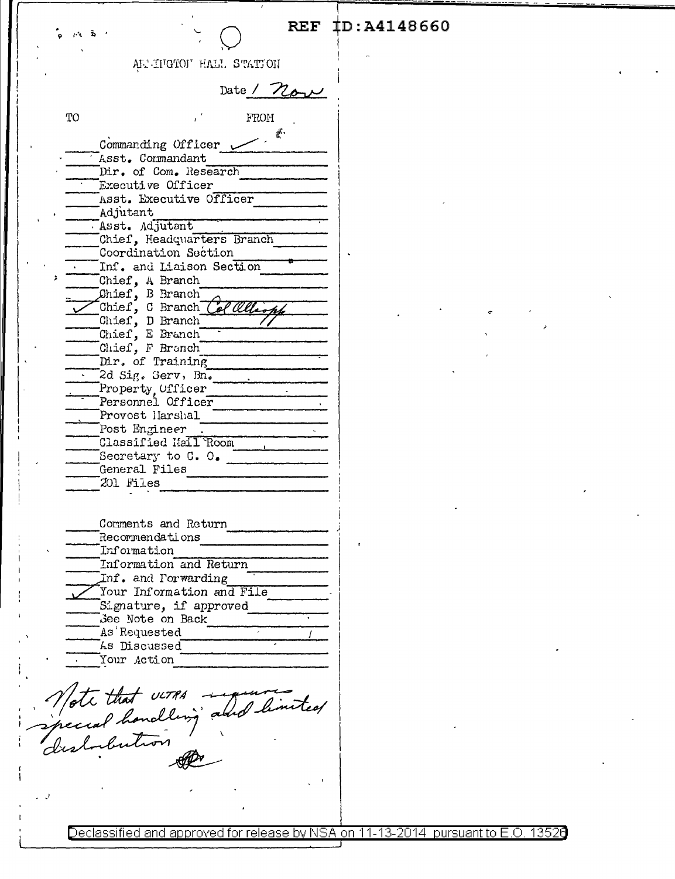AL'INGTON HALL STATION

Date / now

| TО | FROM                                     |
|----|------------------------------------------|
|    | $\mathbb{R}$ .                           |
|    | Commanding Officer w<br>Asst. Commandant |
|    | Dir. of Com. Research                    |
|    | Executive Officer                        |
|    | Asst. Executive Officer                  |
|    |                                          |
|    | Adjutant                                 |
|    | Asst. Adjutant                           |
|    | Chief, Headquarters Branch               |
|    | Coordination Section                     |
| \$ | Inf. and Liaison Section                 |
|    | Chief, A Branch                          |
|    | Chief, B Branch                          |
|    | Chief, C Branch<br>ol Olls               |
|    | Chief, D Branch                          |
|    | Chief, E Branch                          |
|    | Chief, F Branch                          |
|    | Dir. of Training                         |
|    | 2d Sig. Gerv, Bn.                        |
|    | Property, Ufficer                        |
|    | Personnel Officer                        |
|    | Provost Harshal                          |
|    | Post Engineer                            |
|    | Classified Mail Room                     |
|    | Secretary to $C. O.$                     |
|    | General Files                            |
|    | 201 Files                                |
|    |                                          |
|    | Comments and Return                      |
|    | Recommendations                          |
|    | Information                              |
|    | Information and Return                   |
|    | Inf. and Porwarding                      |
|    | Your Information and File                |
|    | Signature, if approved                   |
|    | See Note on Back                         |
|    | As Requested                             |
|    | As Discussed                             |
|    | Your Action                              |
|    | Note that verks<br>athol                 |
|    |                                          |
|    |                                          |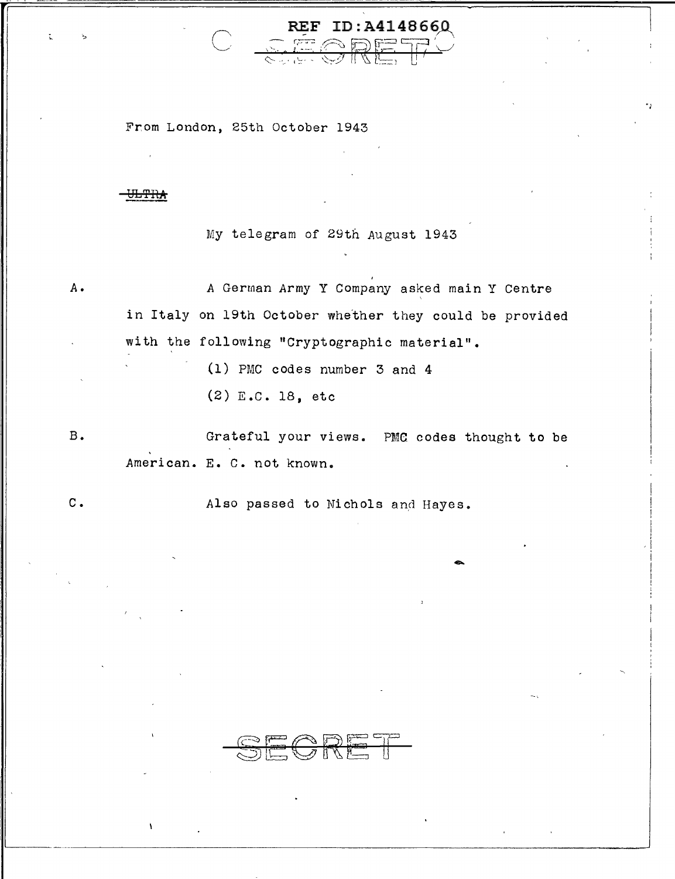From London, 25th October 1943

## <del>JLTRA</del>

B.

c.

My telegram of 29th August 1943

REF ID: A4148660

*A. A* German Army Y Company asked main Y Centre ' in Italy on 19th October whether they could be provided with the following "Cryptographic material".

(1) PMC codes number 3 and 4

(2) E.C. 18, etc

Grateful your views. PMC codes thought to be American. E. c. not known.

Also passed to Nichols and Hayes.

SECRET